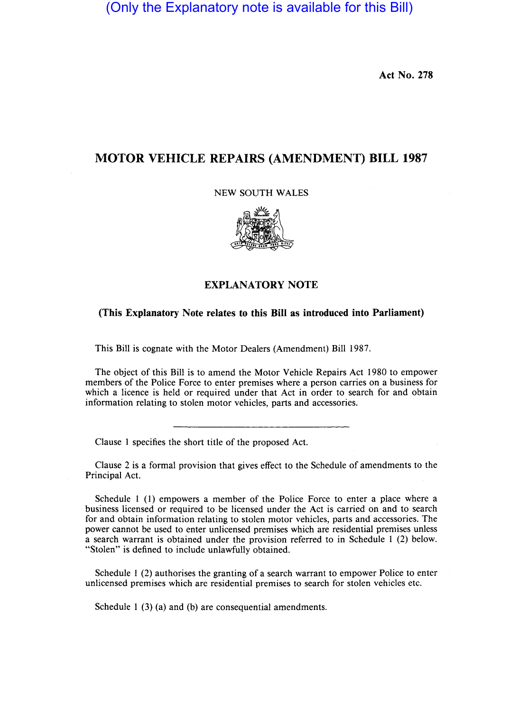(Only the Explanatory note is available for this Bill)

Act No. 278

## **MOTOR VEHICLE REPAIRS** (AMENDMENT) **BILL 1987**

NEW SOUTH WALES



## EXPLANATORY NOTE

## (This Explanatory Note relates to this **Bill** as introduced into Parliament)

This Bill is cognate with the Motor Dealers (Amendment) Bill 1987.

The object of this Bill is to amend the Motor Vehicle Repairs Act 1980 to empower members of the Police Force to enter premises where a person carries on a business for which a licence is held or required under that Act in order to search for and obtain information relating to stolen motor vehicles, parts and accessories.

Clause 1 specifies the short title of the proposed Act.

Clause 2 is a formal provision that gives effect to the Schedule of amendments to the Principal Act.

Schedule 1 (1) empowers a member of the Police Force to enter a place where a business licensed or required to be licensed under the Act is carried on and to search for and obtain information relating to stolen motor vehicles, parts and accessories. The power cannot be used to enter unlicensed premises which are residential premises unless a search warrant is obtained under the provision referred to in Schedule 1 (2) below. "Stolen" is defined to include unlawfully obtained.

Schedule I (2) authorises the granting of a search warrant to empower Police to enter unlicensed premises which are residential premises to search for stolen vehicles etc.

Schedule 1 (3) (a) and (b) are consequential amendments.